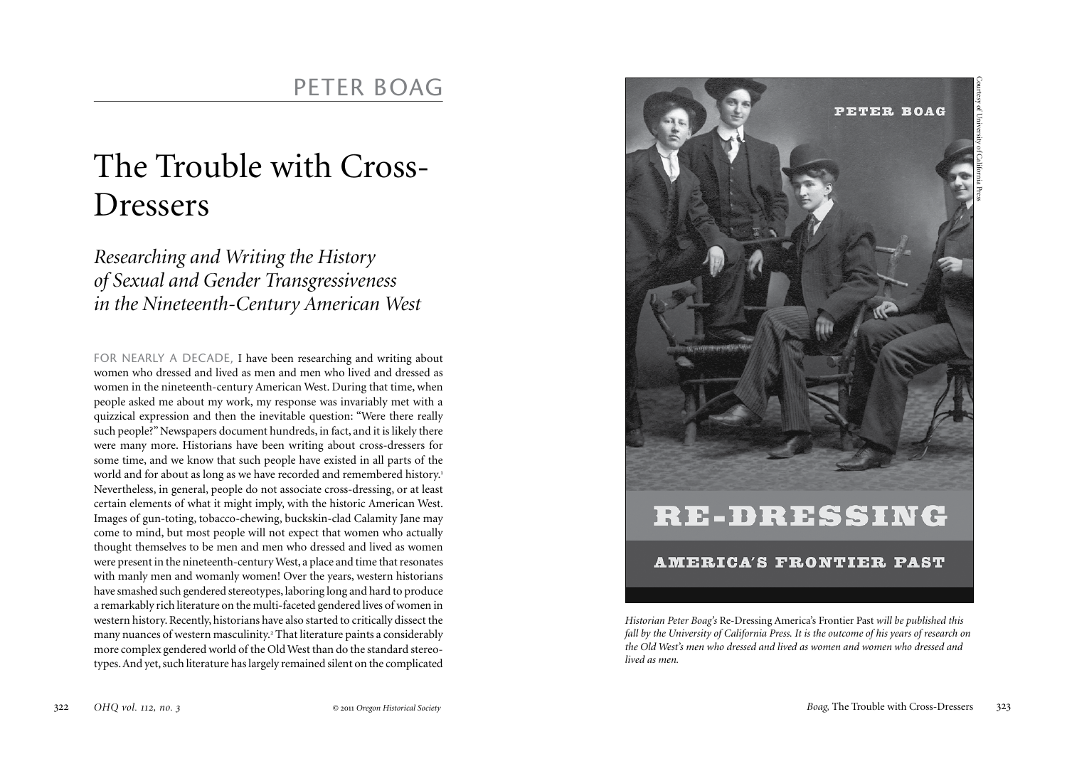## The Trouble with Cross-Dressers

*Researching and Writing the History of Sexual and Gender Transgressiveness in the Nineteenth-Century American West*

FOR NEARLY A DECADE, I have been researching and writing about women who dressed and lived as men and men who lived and dressed as women in the nineteenth-century American West. During that time, when people asked me about my work, my response was invariably met with a quizzical expression and then the inevitable question: "Were there really such people?" Newspapers document hundreds, in fact, and it is likely there were many more. Historians have been writing about cross-dressers for some time, and we know that such people have existed in all parts of the world and for about as long as we have recorded and remembered history.<sup>1</sup> Nevertheless, in general, people do not associate cross-dressing, or at least certain elements of what it might imply, with the historic American West. Images of gun-toting, tobacco-chewing, buckskin-clad Calamity Jane may come to mind, but most people will not expect that women who actually thought themselves to be men and men who dressed and lived as women were present in the nineteenth-century West, a place and time that resonates with manly men and womanly women! Over the years, western historians have smashed such gendered stereotypes, laboring long and hard to produce a remarkably rich literature on the multi-faceted gendered lives of women in western history. Recently, historians have also started to critically dissect the many nuances of western masculinity.<sup>2</sup> That literature paints a considerably more complex gendered world of the Old West than do the standard stereotypes. And yet, such literature has largely remained silent on the complicated



*Historian Peter Boag's* Re-Dressing America's Frontier Past *will be published this fall by the University of California Press. It is the outcome of his years of research on the Old West's men who dressed and lived as women and women who dressed and lived as men.*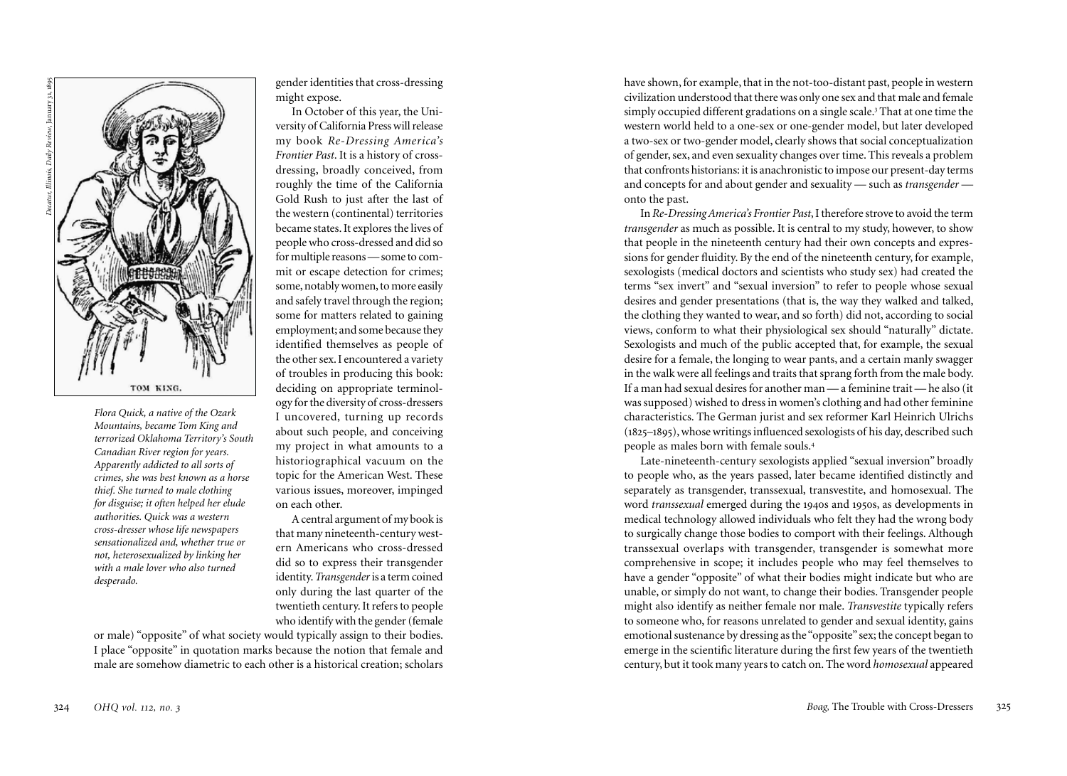

*Flora Quick, a native of the Ozark Mountains, became Tom King and terrorized Oklahoma Territory's South Canadian River region for years. Apparently addicted to all sorts of crimes, she was best known as a horse thief. She turned to male clothing for disguise; it often helped her elude authorities. Quick was a western cross-dresser whose life newspapers sensationalized and, whether true or not, heterosexualized by linking her with a male lover who also turned desperado.* 

gender identities that cross-dressing might expose.

In October of this year, the Uni versity of California Press will release my book *Re-Dressing America's Frontier Past*. It is a history of crossdressing, broadly conceived, from roughly the time of the California Gold Rush to just after the last of the western (continental) territories became states. It explores the lives of people who cross-dressed and did so for multiple reasons — some to com mit or escape detection for crimes; some, notably women, to more easily and safely travel through the region; some for matters related to gaining employment; and some because they identified themselves as people of the other sex. I encountered a variety of troubles in producing this book: deciding on appropriate terminol ogy for the diversity of cross-dressers I uncovered, turning up records about such people, and conceiving my project in what amounts to a historiographical vacuum on the topic for the American West. These various issues, moreover, impinged on each other.

A central argument of my book is that many nineteenth-century west ern Americans who cross-dressed did so to express their transgender identity. *Transgender* is a term coined only during the last quarter of the twentieth century. It refers to people who identify with the gender (female

or male) "opposite" of what society would typically assign to their bodies. I place "opposite" in quotation marks because the notion that female and male are somehow diametric to each other is a historical creation; scholars

have shown, for example, that in the not-too-distant past, people in western civilization understood that there was only one sex and that male and female simply occupied different gradations on a single scale.<sup>3</sup> That at one time the 3 western world held to a one-sex or one-gender model, but later developed a two-sex or two-gender model, clearly shows that social conceptualization of gender, sex, and even sexuality changes over time. This reveals a problem that confronts historians: it is anachronistic to impose our present-day terms and concepts for and about gender and sexuality — such as *transgender* onto the past.

In *Re-Dressing America's Frontier Past*, I therefore strove to avoid the term *transgender* as much as possible. It is central to my study, however, to show that people in the nineteenth century had their own concepts and expres sions for gender fluidity. By the end of the nineteenth century, for example, sexologists (medical doctors and scientists who study sex) had created the terms "sex invert" and "sexual inversion" to refer to people whose sexual desires and gender presentations (that is, the way they walked and talked, the clothing they wanted to wear, and so forth) did not, according to social views, conform to what their physiological sex should "naturally" dictate. Sexologists and much of the public accepted that, for example, the sexual desire for a female, the longing to wear pants, and a certain manly swagger in the walk were all feelings and traits that sprang forth from the male body. If a man had sexual desires for another man — a feminine trait — he also (it was supposed) wished to dress in women's clothing and had other feminine characteristics. The German jurist and sex reformer Karl Heinrich Ulrichs (1825–1895), whose writings influenced sexologists of his day, described such people as males born with female souls. 4

Late-nineteenth-century sexologists applied "sexual inversion" broadly to people who, as the years passed, later became identified distinctly and separately as transgender, transsexual, transvestite, and homosexual. The word *transsexual* emerged during the 19 0s and 19 0s, as developments in 4 5 medical technology allowed individuals who felt they had the wrong body to surgically change those bodies to comport with their feelings. Although transsexual overlaps with transgender, transgender is somewhat more comprehensive in scope; it includes people who may feel themselves to have a gender "opposite" of what their bodies might indicate but who are unable, or simply do not want, to change their bodies. Transgender people might also identify as neither female nor male. *Transvestite* typically refers to someone who, for reasons unrelated to gender and sexual identity, gains emotional sustenance by dressing as the "opposite" sex; the concept began to emerge in the scientific literature during the first few years of the twentieth century, but it took many years to catch on. The word *homosexual* appeared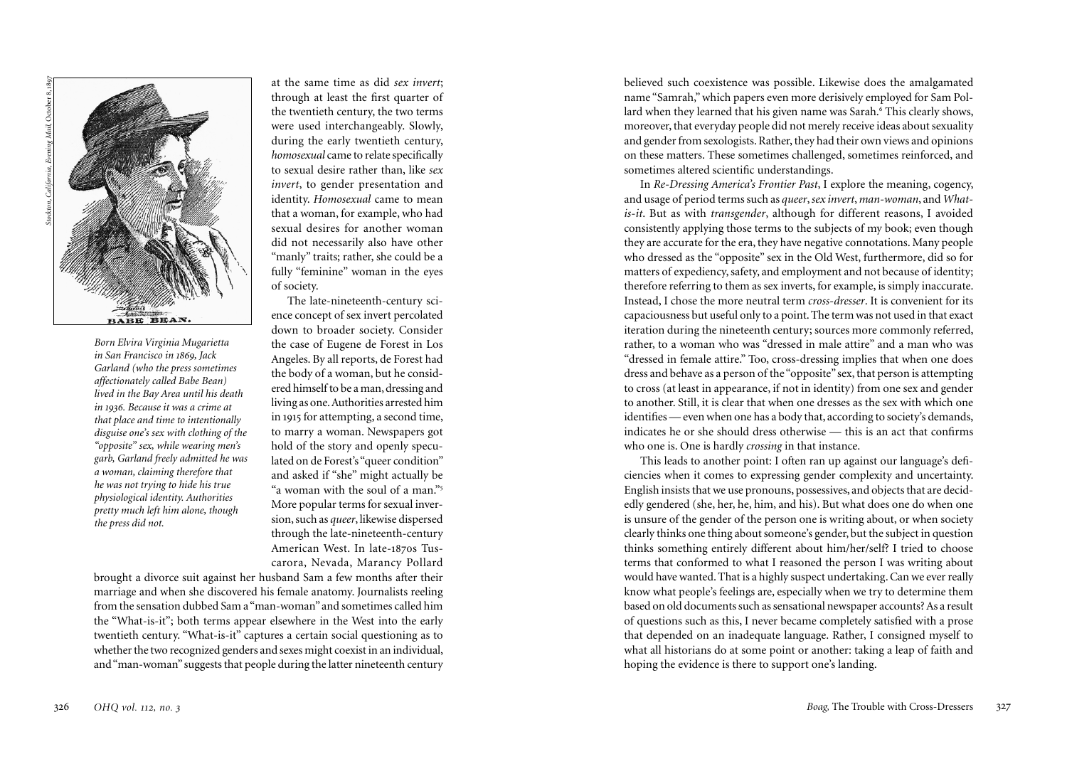

*Born Elvira Virginia Mugarietta in San Francisco in 1869, Jack Garland (who the press sometimes affectionately called Babe Bean) lived in the Bay Area until his death in 1936. Because it was a crime at that place and time to intentionally disguise one's sex with clothing of the "opposite" sex, while wearing men's garb, Garland freely admitted he was a woman, claiming therefore that he was not trying to hide his true physiological identity. Authorities pretty much left him alone, though the press did not.* 

at the same time as did *sex invert*; through at least the first quarter of the twentieth century, the two terms were used interchangeably. Slowly, during the early twentieth century, *homosexual* came to relate specifically to sexual desire rather than, like *sex invert*, to gender presentation and identity. *Homosexual* came to mean that a woman, for example, who had sexual desires for another woman did not necessarily also have other "manly" traits; rather, she could be a fully "feminine" woman in the eyes of society.

The late-nineteenth-century sci ence concept of sex invert percolated down to broader society. Consider the case of Eugene de Forest in Los Angeles. By all reports, de Forest had the body of a woman, but he consid ered himself to be a man, dressing and living as one. Authorities arrested him in 191 5 for attempting, a second time, to marry a woman. Newspapers got hold of the story and openly specu lated on de Forest's "queer condition" and asked if "she" might actually be "a woman with the soul of a man." 5 More popular terms for sexual inver sion, such as *queer*, likewise dispersed through the late-nineteenth-century American West. In late-1870s Tus-.<br>با carora, Nevada, Marancy Pollard

brought a divorce suit against her husband Sam a few months after their marriage and when she discovered his female anatomy. Journalists reeling from the sensation dubbed Sam a "man-woman" and sometimes called him the "What-is-it"; both terms appear elsewhere in the West into the early twentieth century. "What-is-it" captures a certain social questioning as to whether the two recognized genders and sexes might coexist in an individual, and "man-woman" suggests that people during the latter nineteenth century

believed such coexistence was possible. Likewise does the amalgamated name "Samrah," which papers even more derisively employed for Sam Pol lard when they learned that his given name was Sarah. This clearly shows, 6 moreover, that everyday people did not merely receive ideas about sexuality and gender from sexologists. Rather, they had their own views and opinions on these matters. These sometimes challenged, sometimes reinforced, and sometimes altered scientific understandings.

In *Re-Dressing America's Frontier Past*, I explore the meaning, cogency, and usage of period terms such as *queer*, *sex invert*, *man-woman*, and *Whatis-it*. But as with *transgender*, although for different reasons, I avoided consistently applying those terms to the subjects of my book; even though they are accurate for the era, they have negative connotations. Many people who dressed as the "opposite" sex in the Old West, furthermore, did so for matters of expediency, safety, and employment and not because of identity; therefore referring to them as sex inverts, for example, is simply inaccurate. Instead, I chose the more neutral term *cross-dresser*. It is convenient for its capaciousness but useful only to a point. The term was not used in that exact iteration during the nineteenth century; sources more commonly referred, rather, to a woman who was "dressed in male attire" and a man who was "dressed in female attire." Too, cross-dressing implies that when one does dress and behave as a person of the "opposite" sex, that person is attempting to cross (at least in appearance, if not in identity) from one sex and gender to another. Still, it is clear that when one dresses as the sex with which one identifies — even when one has a body that, according to society's demands, indicates he or she should dress otherwise — this is an act that confirms who one is. One is hardly *crossing* in that instance.

This leads to another point: I often ran up against our language's defi ciencies when it comes to expressing gender complexity and uncertainty. English insists that we use pronouns, possessives, and objects that are decid edly gendered (she, her, he, him, and his). But what does one do when one is unsure of the gender of the person one is writing about, or when society clearly thinks one thing about someone's gender, but the subject in question thinks something entirely different about him/her/self? I tried to choose terms that conformed to what I reasoned the person I was writing about would have wanted. That is a highly suspect undertaking. Can we ever really know what people's feelings are, especially when we try to determine them based on old documents such as sensational newspaper accounts? As a result of questions such as this, I never became completely satisfied with a prose that depended on an inadequate language. Rather, I consigned myself to what all historians do at some point or another: taking a leap of faith and hoping the evidence is there to support one's landing.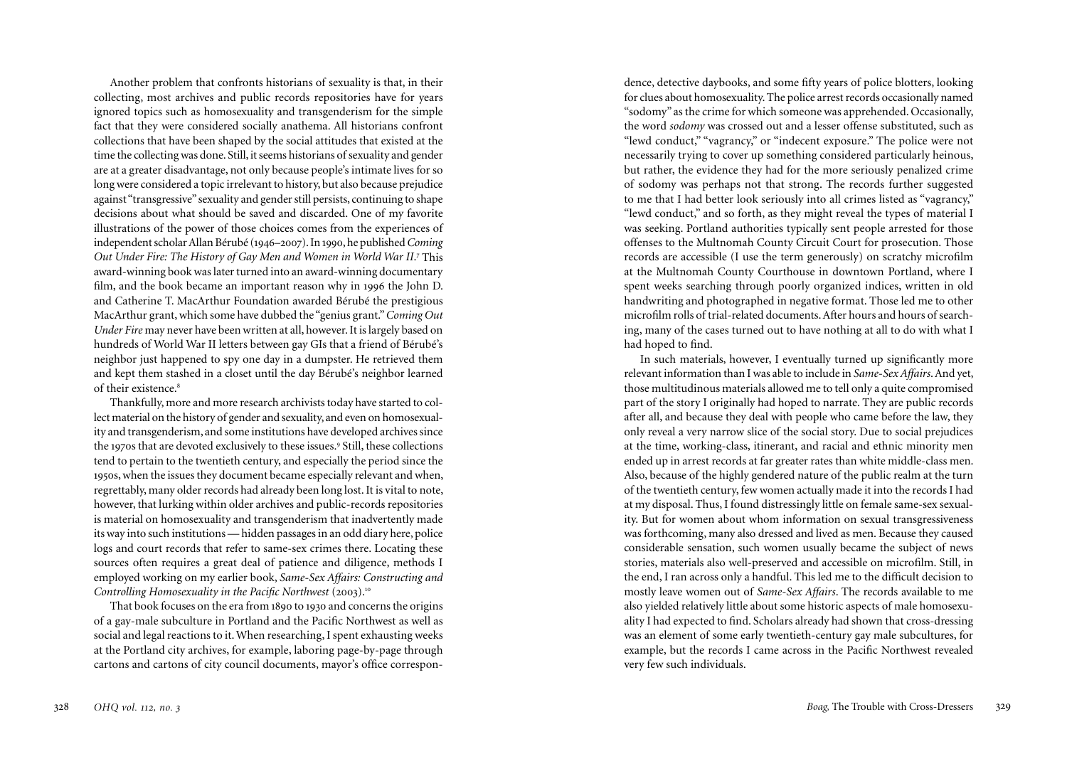Another problem that confronts historians of sexuality is that, in their collecting, most archives and public records repositories have for years ignored topics such as homosexuality and transgenderism for the simple fact that they were considered socially anathema. All historians confront collections that have been shaped by the social attitudes that existed at the time the collecting was done. Still, it seems historians of sexuality and gender are at a greater disadvantage, not only because people's intimate lives for so long were considered a topic irrelevant to history, but also because prejudice against "transgressive" sexuality and gender still persists, continuing to shape decisions about what should be saved and discarded. One of my favorite illustrations of the power of those choices comes from the experiences of independent scholar Allan Bérubé (1946–2007). In 1990, he published *Coming*  Out Under Fire: The History of Gay Men and Women in World War II.<sup>7</sup> This ; award-winning book was later turned into an award-winning documentary film, and the book became an important reason why in 1996 the John D. and Catherine T. MacArthur Foundation awarded Bérubé the prestigious MacArthur grant, which some have dubbed the "genius grant." *Coming Out Under Fire* may never have been written at all, however. It is largely based on hundreds of World War II letters between gay GIs that a friend of Bérubé's neighbor just happened to spy one day in a dumpster. He retrieved them and kept them stashed in a closet until the day Bérubé's neighbor learned of their existence.<sup>8</sup>

Thankfully, more and more research archivists today have started to collect material on the history of gender and sexuality, and even on homosexuality and transgenderism, and some institutions have developed archives since the 1970s that are devoted exclusively to these issues.<sup>9</sup> Still, these collections tend to pertain to the twentieth century, and especially the period since the 1950s, when the issues they document became especially relevant and when, regrettably, many older records had already been long lost. It is vital to note, however, that lurking within older archives and public-records repositories is material on homosexuality and transgenderism that inadvertently made its way into such institutions — hidden passages in an odd diary here, police logs and court records that refer to same-sex crimes there. Locating these sources often requires a great deal of patience and diligence, methods I employed working on my earlier book, *Same-Sex Affairs: Constructing and Controlling Homosexuality in the Pacific Northwest* (2003).<sup>10</sup>

That book focuses on the era from 1890 to 1930 and concerns the origins of a gay-male subculture in Portland and the Pacific Northwest as well as social and legal reactions to it. When researching, I spent exhausting weeks at the Portland city archives, for example, laboring page-by-page through cartons and cartons of city council documents, mayor's office correspondence, detective daybooks, and some fifty years of police blotters, looking for clues about homosexuality. The police arrest records occasionally named "sodomy" as the crime for which someone was apprehended. Occasionally, the word *sodomy* was crossed out and a lesser offense substituted, such as "lewd conduct," "vagrancy," or "indecent exposure." The police were not necessarily trying to cover up something considered particularly heinous, but rather, the evidence they had for the more seriously penalized crime of sodomy was perhaps not that strong. The records further suggested to me that I had better look seriously into all crimes listed as "vagrancy," "lewd conduct," and so forth, as they might reveal the types of material I was seeking. Portland authorities typically sent people arrested for those offenses to the Multnomah County Circuit Court for prosecution. Those records are accessible (I use the term generously) on scratchy microfilm at the Multnomah County Courthouse in downtown Portland, where I spent weeks searching through poorly organized indices, written in old handwriting and photographed in negative format. Those led me to other microfilm rolls of trial-related documents. After hours and hours of searching, many of the cases turned out to have nothing at all to do with what I had hoped to find.

In such materials, however, I eventually turned up significantly more relevant information than I was able to include in *Same-Sex Affairs*. And yet, those multitudinous materials allowed me to tell only a quite compromised part of the story I originally had hoped to narrate. They are public records after all, and because they deal with people who came before the law, they only reveal a very narrow slice of the social story. Due to social prejudices at the time, working-class, itinerant, and racial and ethnic minority men ended up in arrest records at far greater rates than white middle-class men. Also, because of the highly gendered nature of the public realm at the turn of the twentieth century, few women actually made it into the records I had at my disposal. Thus, I found distressingly little on female same-sex sexuality. But for women about whom information on sexual transgressiveness was forthcoming, many also dressed and lived as men. Because they caused considerable sensation, such women usually became the subject of news stories, materials also well-preserved and accessible on microfilm. Still, in the end, I ran across only a handful. This led me to the difficult decision to mostly leave women out of *Same-Sex Affairs*. The records available to me also yielded relatively little about some historic aspects of male homosexuality I had expected to find. Scholars already had shown that cross-dressing was an element of some early twentieth-century gay male subcultures, for example, but the records I came across in the Pacific Northwest revealed very few such individuals.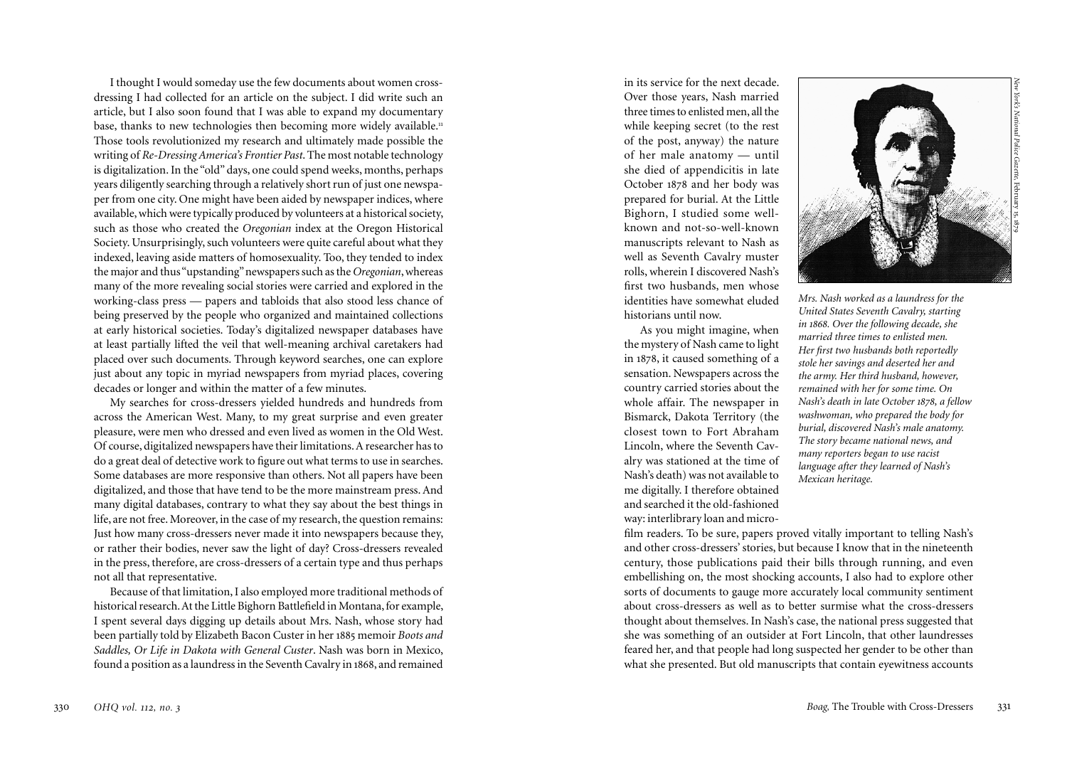I thought I would someday use the few documents about women crossdressing I had collected for an article on the subject. I did write such an article, but I also soon found that I was able to expand my documentary base, thanks to new technologies then becoming more widely available.<sup>11</sup> Those tools revolutionized my research and ultimately made possible the writing of *Re-Dressing America's Frontier Past*. The most notable technology is digitalization. In the "old" days, one could spend weeks, months, perhaps years diligently searching through a relatively short run of just one newspa per from one city. One might have been aided by newspaper indices, where available, which were typically produced by volunteers at a historical society, such as those who created the *Oregonian* index at the Oregon Historical Society. Unsurprisingly, such volunteers were quite careful about what they indexed, leaving aside matters of homosexuality. Too, they tended to index the major and thus "upstanding" newspapers such as the *Oregonian*, whereas many of the more revealing social stories were carried and explored in the working-class press — papers and tabloids that also stood less chance of being preserved by the people who organized and maintained collections at early historical societies. Today's digitalized newspaper databases have at least partially lifted the veil that well-meaning archival caretakers had placed over such documents. Through keyword searches, one can explore just about any topic in myriad newspapers from myriad places, covering decades or longer and within the matter of a few minutes.

My searches for cross-dressers yielded hundreds and hundreds from across the American West. Many, to my great surprise and even greater pleasure, were men who dressed and even lived as women in the Old West. Of course, digitalized newspapers have their limitations. A researcher has to do a great deal of detective work to figure out what terms to use in searches. Some databases are more responsive than others. Not all papers have been digitalized, and those that have tend to be the more mainstream press. And many digital databases, contrary to what they say about the best things in life, are not free. Moreover, in the case of my research, the question remains: Just how many cross-dressers never made it into newspapers because they, or rather their bodies, never saw the light of day? Cross-dressers revealed in the press, therefore, are cross-dressers of a certain type and thus perhaps not all that representative.

Because of that limitation, I also employed more traditional methods of historical research. At the Little Bighorn Battlefield in Montana, for example, I spent several days digging up details about Mrs. Nash, whose story had been partially told by Elizabeth Bacon Custer in her 188 5 memoir *Boots and Saddles, Or Life in Dakota with General Custer*. Nash was born in Mexico, found a position as a laundress in the Seventh Cavalry in 18 8, and remained 6 in its service for the next decade. Over those years, Nash married three times to enlisted men, all the while keeping secret (to the rest of the post, anyway) the nature of her male anatomy — until she died of appendicitis in late October 18 8 and her body was .<br>. prepared for burial. At the Little Bighorn, I studied some wellknown and not-so-well-known manuscripts relevant to Nash as well as Seventh Cavalry muster rolls, wherein I discovered Nash's first two husbands, men whose identities have somewhat eluded historians until now.

As you might imagine, when the mystery of Nash came to light in 18 8, it caused something of a .<br>. sensation. Newspapers across the country carried stories about the whole affair. The newspaper in Bismarck, Dakota Territory (the closest town to Fort Abraham Lincoln, where the Seventh Cav alry was stationed at the time of Nash's death) was not available to me digitally. I therefore obtained and searched it the old-fashioned way: interlibrary loan and micro -



*New York's National Police Gazette*, February 15, 1879

*Mrs. Nash worked as a laundress for the United States Seventh Cavalry, starting in 1868. Over the following decade, she married three times to enlisted men. Her first two husbands both reportedly stole her savings and deserted her and the army. Her third husband, however, remained with her for some time. On Nash's death in late October 1878, a fellow washwoman, who prepared the body for burial, discovered Nash's male anatomy. The story became national news, and many reporters began to use racist language after they learned of Nash's Mexican heritage.* 

film readers. To be sure, papers proved vitally important to telling Nash's and other cross-dressers' stories, but because I know that in the nineteenth century, those publications paid their bills through running, and even embellishing on, the most shocking accounts, I also had to explore other sorts of documents to gauge more accurately local community sentiment about cross-dressers as well as to better surmise what the cross-dressers thought about themselves. In Nash's case, the national press suggested that she was something of an outsider at Fort Lincoln, that other laundresses feared her, and that people had long suspected her gender to be other than what she presented. But old manuscripts that contain eyewitness accounts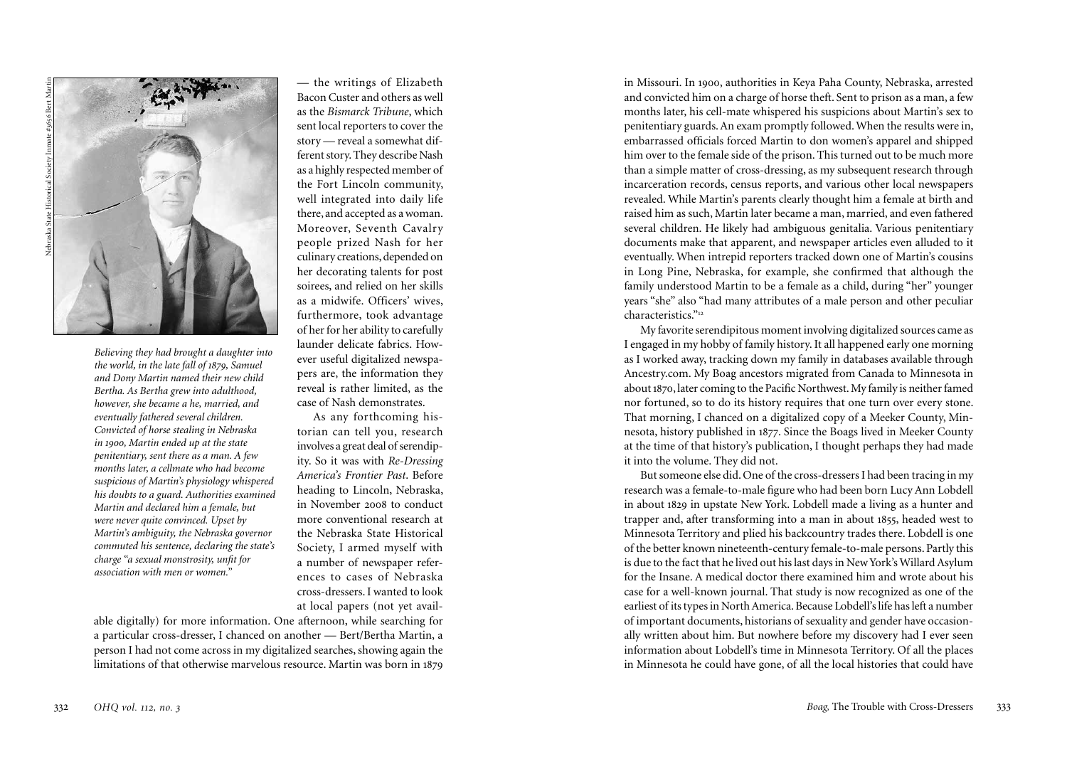

*Believing they had brought a daughter into the world, in the late fall of 1879, Samuel and Dony Martin named their new child Bertha. As Bertha grew into adulthood, however, she became a he, married, and eventually fathered several children. Convicted of horse stealing in Nebraska in 1900, Martin ended up at the state penitentiary, sent there as a man. A few months later, a cellmate who had become suspicious of Martin's physiology whispered his doubts to a guard. Authorities examined Martin and declared him a female, but were never quite convinced. Upset by Martin's ambiguity, the Nebraska governor commuted his sentence, declaring the state's charge "a sexual monstrosity, unfit for association with men or women."* 

— the writings of Elizabeth Bacon Custer and others as well as the *Bismarck Tribune*, which sent local reporters to cover the story — reveal a somewhat different story. They describe Nash as a highly respected member of the Fort Lincoln community, well integrated into daily life there, and accepted as a woman. Moreover, Seventh Cavalry people prized Nash for her culinary creations, depended on her decorating talents for post soirees, and relied on her skills as a midwife. Officers' wives, furthermore, took advantage of her for her ability to carefully launder delicate fabrics. How ever useful digitalized newspa pers are, the information they reveal is rather limited, as the case of Nash demonstrates.

As any forthcoming his torian can tell you, research involves a great deal of serendip ity. So it was with *Re-Dressing America's Frontier Past*. Before heading to Lincoln, Nebraska, in November 2008 to conduct more conventional research at the Nebraska State Historical Society, I armed myself with a number of newspaper refer ences to cases of Nebraska cross-dressers. I wanted to look at local papers (not yet avail -

able digitally) for more information. One afternoon, while searching for a particular cross-dresser, I chanced on another — Bert/Bertha Martin, a person I had not come across in my digitalized searches, showing again the limitations of that otherwise marvelous resource. Martin was born in 18 9 .<br>.

in Missouri. In 1900, authorities in Keya Paha County, Nebraska, arrested and convicted him on a charge of horse theft. Sent to prison as a man, a few months later, his cell-mate whispered his suspicions about Martin's sex to penitentiary guards. An exam promptly followed. When the results were in, embarrassed officials forced Martin to don women's apparel and shipped him over to the female side of the prison. This turned out to be much more than a simple matter of cross-dressing, as my subsequent research through incarceration records, census reports, and various other local newspapers revealed. While Martin's parents clearly thought him a female at birth and raised him as such, Martin later became a man, married, and even fathered several children. He likely had ambiguous genitalia. Various penitentiary documents make that apparent, and newspaper articles even alluded to it eventually. When intrepid reporters tracked down one of Martin's cousins in Long Pine, Nebraska, for example, she confirmed that although the family understood Martin to be a female as a child, during "her" younger years "she" also "had many attributes of a male person and other peculiar characteristics." 1 2

My favorite serendipitous moment involving digitalized sources came as I engaged in my hobby of family history. It all happened early one morning as I worked away, tracking down my family in databases available through Ancestry.com. My Boag ancestors migrated from Canada to Minnesota in about 18 0, later coming to the Pacific Northwest. My family is neither famed .<br>. nor fortuned, so to do its history requires that one turn over every stone. That morning, I chanced on a digitalized copy of a Meeker County, Min nesota, history published in 1877. Since the Boags lived in Meeker County at the time of that history's publication, I thought perhaps they had made it into the volume. They did not.

But someone else did. One of the cross-dressers I had been tracing in my research was a female-to-male figure who had been born Lucy Ann Lobdell in about 18 9 in upstate New York. Lobdell made a living as a hunter and 2 trapper and, after transforming into a man in about 1855, headed west to Minnesota Territory and plied his backcountry trades there. Lobdell is one of the better known nineteenth-century female-to-male persons. Partly this is due to the fact that he lived out his last days in New York's Willard Asylum for the Insane. A medical doctor there examined him and wrote about his case for a well-known journal. That study is now recognized as one of the earliest of its types in North America. Because Lobdell's life has left a number of important documents, historians of sexuality and gender have occasion ally written about him. But nowhere before my discovery had I ever seen information about Lobdell's time in Minnesota Territory. Of all the places in Minnesota he could have gone, of all the local histories that could have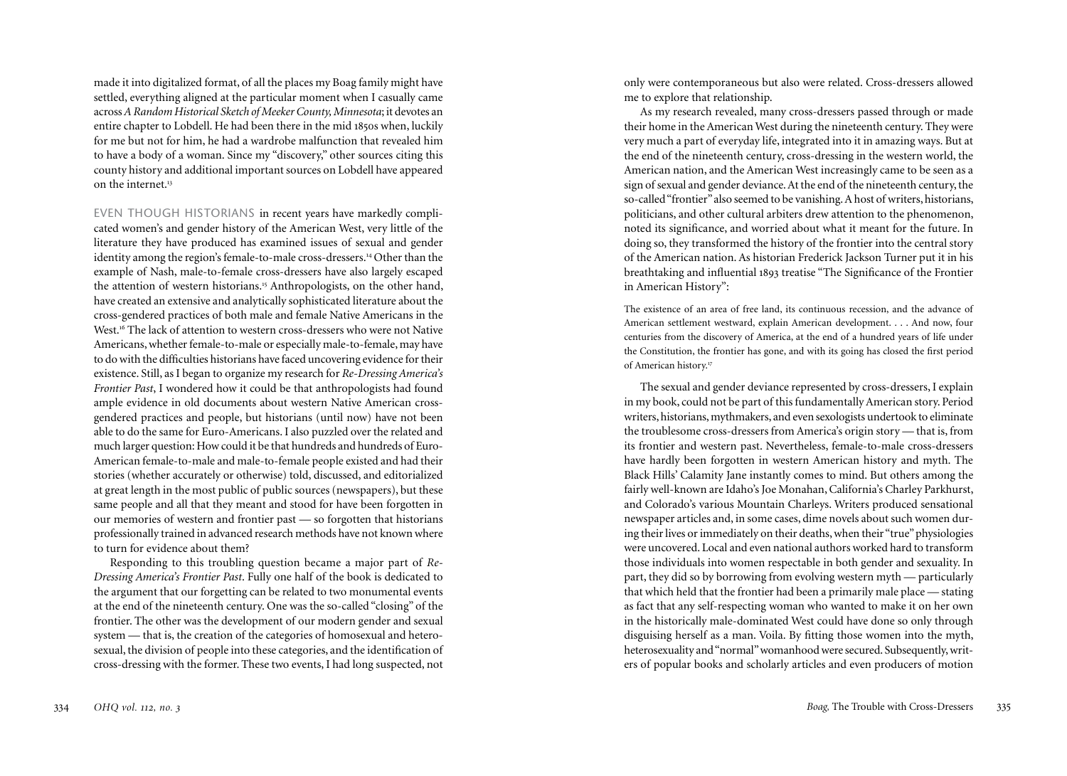made it into digitalized format, of all the places my Boag family might have settled, everything aligned at the particular moment when I casually came across *A Random Historical Sketch of Meeker County, Minnesota*; it devotes an entire chapter to Lobdell. He had been there in the mid 18 0s when, luckily 5 for me but not for him, he had a wardrobe malfunction that revealed him to have a body of a woman. Since my "discovery," other sources citing this county history and additional important sources on Lobdell have appeared on the internet. 1 3

EVEN THOUGH HISTORIANS in recent years have markedly compli cated women's and gender history of the American West, very little of the literature they have produced has examined issues of sexual and gender identity among the region's female-to-male cross-dressers. 1 Other than the 4 example of Nash, male-to-female cross-dressers have also largely escaped the attention of western historians. 1 Anthropologists, on the other hand, 5 have created an extensive and analytically sophisticated literature about the cross-gendered practices of both male and female Native Americans in the West. 1 The lack of attention to western cross-dressers who were not Native 6 Americans, whether female-to-male or especially male-to-female, may have to do with the difficulties historians have faced uncovering evidence for their existence. Still, as I began to organize my research for *Re-Dressing America's Frontier Past*, I wondered how it could be that anthropologists had found ample evidence in old documents about western Native American crossgendered practices and people, but historians (until now) have not been able to do the same for Euro-Americans. I also puzzled over the related and much larger question: How could it be that hundreds and hundreds of Euro-American female-to-male and male-to-female people existed and had their stories (whether accurately or otherwise) told, discussed, and editorialized at great length in the most public of public sources (newspapers), but these same people and all that they meant and stood for have been forgotten in our memories of western and frontier past — so forgotten that historians professionally trained in advanced research methods have not known where to turn for evidence about them?

Responding to this troubling question became a major part of *Re-Dressing America's Frontier Past*. Fully one half of the book is dedicated to the argument that our forgetting can be related to two monumental events at the end of the nineteenth century. One was the so-called "closing" of the frontier. The other was the development of our modern gender and sexual system — that is, the creation of the categories of homosexual and heterosexual, the division of people into these categories, and the identification of cross-dressing with the former. These two events, I had long suspected, not only were contemporaneous but also were related. Cross-dressers allowed me to explore that relationship.

As my research revealed, many cross-dressers passed through or made their home in the American West during the nineteenth century. They were very much a part of everyday life, integrated into it in amazing ways. But at the end of the nineteenth century, cross-dressing in the western world, the American nation, and the American West increasingly came to be seen as a sign of sexual and gender deviance. At the end of the nineteenth century, the so-called "frontier" also seemed to be vanishing. A host of writers, historians, politicians, and other cultural arbiters drew attention to the phenomenon, noted its significance, and worried about what it meant for the future. In doing so, they transformed the history of the frontier into the central story of the American nation. As historian Frederick Jackson Turner put it in his breathtaking and influential 189 3 treatise "The Significance of the Frontier in American History":

The existence of an area of free land, its continuous recession, and the advance of American settlement westward, explain American development. . . . And now, four centuries from the discovery of America, at the end of a hundred years of life under the Constitution, the frontier has gone, and with its going has closed the first period of American history. 1 7

The sexual and gender deviance represented by cross-dressers, I explain in my book, could not be part of this fundamentally American story. Period writers, historians, mythmakers, and even sexologists undertook to eliminate the troublesome cross-dressers from America's origin story — that is, from its frontier and western past. Nevertheless, female-to-male cross-dressers have hardly been forgotten in western American history and myth. The Black Hills' Calamity Jane instantly comes to mind. But others among the fairly well-known are Idaho's Joe Monahan, California's Charley Parkhurst, and Colorado's various Mountain Charleys. Writers produced sensational newspaper articles and, in some cases, dime novels about such women dur ing their lives or immediately on their deaths, when their "true" physiologies were uncovered. Local and even national authors worked hard to transform those individuals into women respectable in both gender and sexuality. In part, they did so by borrowing from evolving western myth — particularly that which held that the frontier had been a primarily male place — stating as fact that any self-respecting woman who wanted to make it on her own in the historically male-dominated West could have done so only through disguising herself as a man. Voila. By fitting those women into the myth, heterosexuality and "normal" womanhood were secured. Subsequently, writ ers of popular books and scholarly articles and even producers of motion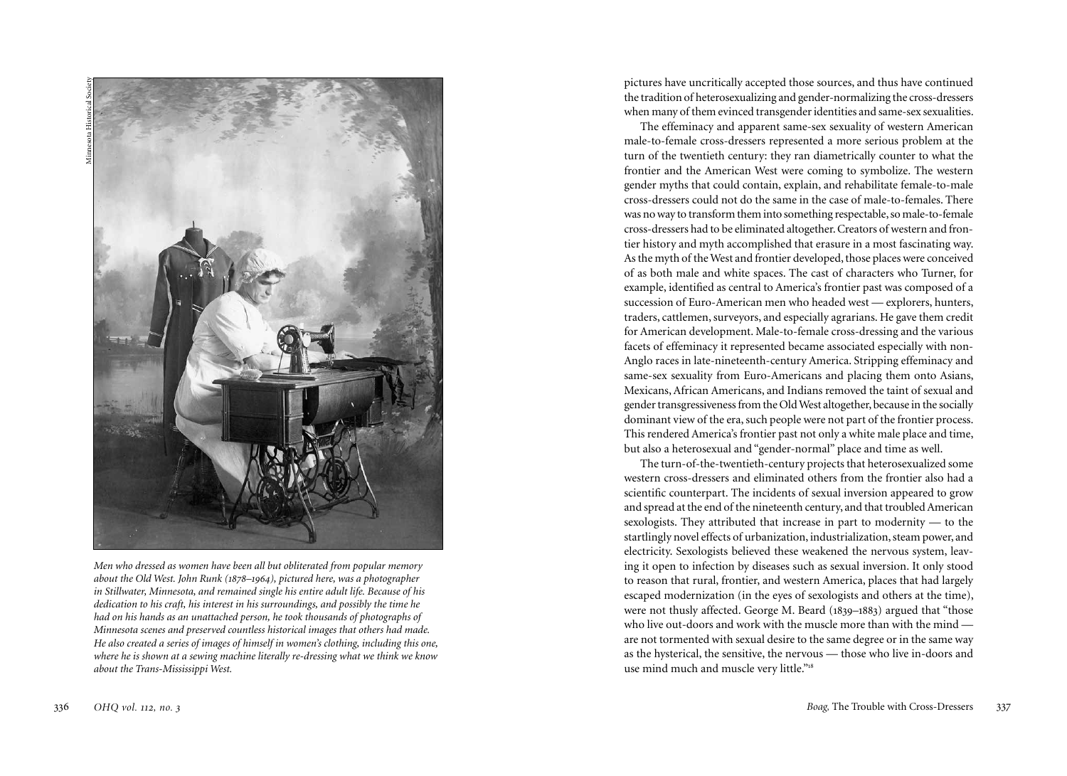

*Men who dressed as women have been all but obliterated from popular memory about the Old West. John Runk (1878 –1964), pictured here, was a photographer in Stillwater, Minnesota, and remained single his entire adult life. Because of his dedication to his craft, his interest in his surroundings, and possibly the time he had on his hands as an unattached person, he took thousands of photographs of Minnesota scenes and preserved countless historical images that others had made. He also created a series of images of himself in women's clothing, including this one, where he is shown at a sewing machine literally re-dressing what we think we know about the Trans-Mississippi West.*

pictures have uncritically accepted those sources, and thus have continued the tradition of heterosexualizing and gender-normalizing the cross-dressers when many of them evinced transgender identities and same-sex sexualities.

The effeminacy and apparent same-sex sexuality of western American male-to-female cross-dressers represented a more serious problem at the turn of the twentieth century: they ran diametrically counter to what the frontier and the American West were coming to symbolize. The western gender myths that could contain, explain, and rehabilitate female-to-male cross-dressers could not do the same in the case of male-to-females. There was no way to transform them into something respectable, so male-to-female cross-dressers had to be eliminated altogether. Creators of western and fron tier history and myth accomplished that erasure in a most fascinating way. As the myth of the West and frontier developed, those places were conceived of as both male and white spaces. The cast of characters who Turner, for example, identified as central to America's frontier past was composed of a succession of Euro-American men who headed west — explorers, hunters, traders, cattlemen, surveyors, and especially agrarians. He gave them credit for American development. Male-to-female cross-dressing and the various facets of effeminacy it represented became associated especially with non-Anglo races in late-nineteenth-century America. Stripping effeminacy and same-sex sexuality from Euro-Americans and placing them onto Asians, Mexicans, African Americans, and Indians removed the taint of sexual and gender transgressiveness from the Old West altogether, because in the socially dominant view of the era, such people were not part of the frontier process. This rendered America's frontier past not only a white male place and time, but also a heterosexual and "gender-normal" place and time as well.

The turn-of-the-twentieth-century projects that heterosexualized some western cross-dressers and eliminated others from the frontier also had a scientific counterpart. The incidents of sexual inversion appeared to grow and spread at the end of the nineteenth century, and that troubled American sexologists. They attributed that increase in part to modernity — to the startlingly novel effects of urbanization, industrialization, steam power, and electricity. Sexologists believed these weakened the nervous system, leav ing it open to infection by diseases such as sexual inversion. It only stood to reason that rural, frontier, and western America, places that had largely escaped modernization (in the eyes of sexologists and others at the time), were not thusly affected. George M. Beard (18 9 –188 3) argued that "those :<br>. who live out-doors and work with the muscle more than with the mind are not tormented with sexual desire to the same degree or in the same way as the hysterical, the sensitive, the nervous — those who live in-doors and use mind much and muscle very little."<sup>18</sup>